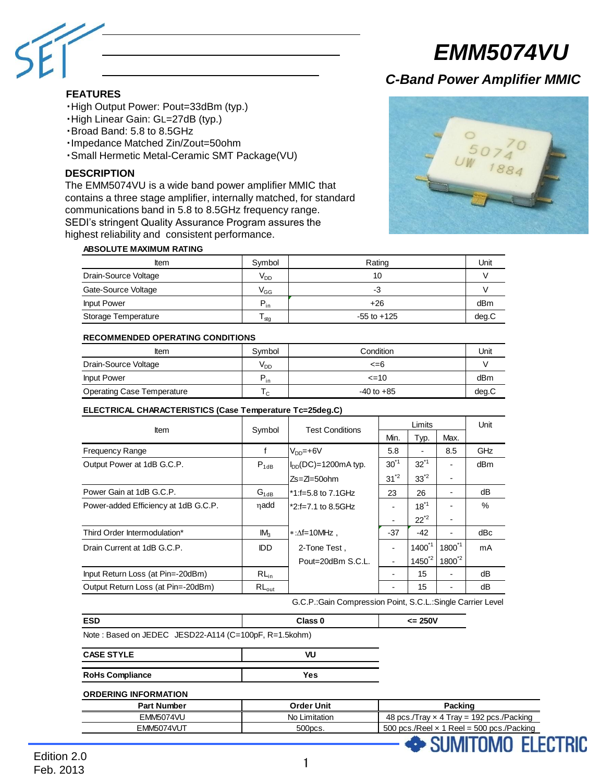

#### **FEATURES**

- ・High Output Power: Pout=33dBm (typ.)
- ・High Linear Gain: GL=27dB (typ.)
- ・Broad Band: 5.8 to 8.5GHz
- ・Impedance Matched Zin/Zout=50ohm
- ・Small Hermetic Metal-Ceramic SMT Package(VU)

#### **DESCRIPTION**

The EMM5074VU is a wide band power amplifier MMIC that contains a three stage amplifier, internally matched, for standard communications band in 5.8 to 8.5GHz frequency range. SEDI's stringent Quality Assurance Program assures the highest reliability and consistent performance.



**FI FCTRIC** 

**MITAMO** 

*C-Band Power Amplifier MMIC*

#### **ABSOLUTE MAXIMUM RATING**

| <b>Item</b>          | Symbol          | Rating          | Unit  |
|----------------------|-----------------|-----------------|-------|
| Drain-Source Voltage | V <sub>DD</sub> | 10              |       |
| Gate-Source Voltage  | $\rm V_{GG}$    | -3              |       |
| <b>Input Power</b>   | $P_{in}$        | $+26$           | dBm   |
| Storage Temperature  | lstg            | $-55$ to $+125$ | deg.C |

#### **RECOMMENDED OPERATING CONDITIONS**

| Item                              | Symbol   | Condition      | Unit  |
|-----------------------------------|----------|----------------|-------|
| Drain-Source Voltage              | $V_{DD}$ | $\leq$ =6      |       |
| <b>Input Power</b>                | $P_{in}$ | $\leq$ 10      | dBm   |
| <b>Operating Case Temperature</b> | I C      | $-40$ to $+85$ | deg.C |

#### **ELECTRICAL CHARACTERISTICS (Case Temperature Tc=25deg.C)**

| <b>Item</b>                          | Symbol          | <b>Test Conditions</b>   |           | Unit        |             |      |
|--------------------------------------|-----------------|--------------------------|-----------|-------------|-------------|------|
|                                      |                 |                          | Min.      | Typ.        | Max.        |      |
| <b>Frequency Range</b>               | f               | $V_{DD}$ =+6V            | 5.8       |             | 8.5         | GHz  |
| Output Power at 1dB G.C.P.           | $P_{1dB}$       | $I_{DD}(DC)=1200mA$ typ. | $30^{11}$ | $32^{1}$    |             | dBm  |
|                                      |                 | $Zs = Z = 50$ ohm        | $31^{2}$  | $33^{2}$    |             |      |
| Power Gain at 1dB G.C.P.             | $G_{1dB}$       | *1:f=5.8 to 7.1GHz       | 23        | 26          |             | dВ   |
| Power-added Efficiency at 1dB G.C.P. | nadd            | *2:f=7.1 to 8.5GHz       |           | $18^{11}$   |             | $\%$ |
|                                      |                 |                          |           | $22^{2}$    | -           |      |
| Third Order Intermodulation*         | IM <sub>2</sub> | $*\Delta f = 10$ MHz.    | $-37$     | $-42$       |             | dBc  |
| Drain Current at 1dB G.C.P.          | IDD             | 2-Tone Test.             |           | $1400^{11}$ | $1800^{11}$ | mA   |
|                                      |                 | Pout=20dBm S.C.L.        |           | $1450^{2}$  | $1800^{2}$  |      |
| Input Return Loss (at Pin=-20dBm)    | $RL_{in}$       |                          |           | 15          |             | dВ   |
| Output Return Loss (at Pin=-20dBm)   | $RL_{out}$      |                          |           | 15          |             | dВ   |

G.C.P.:Gain Compression Point, S.C.L.:Single Carrier Level

| <b>ESD</b>                                            | Class <sub>0</sub> | $= 250V$                                         |
|-------------------------------------------------------|--------------------|--------------------------------------------------|
| Note: Based on JEDEC JESD22-A114 (C=100pF, R=1.5kohm) |                    |                                                  |
| <b>CASE STYLE</b>                                     | VU                 |                                                  |
| <b>RoHs Compliance</b>                                | Yes                |                                                  |
| <b>ORDERING INFORMATION</b>                           |                    |                                                  |
| <b>Part Number</b>                                    | <b>Order Unit</b>  | Packing                                          |
| <b>EMM5074VU</b>                                      | No Limitation      | 48 pcs./Tray $\times$ 4 Tray = 192 pcs./Packing  |
| EMM5074VUT                                            | 500pcs.            | 500 pcs./Reel $\times$ 1 Reel = 500 pcs./Packing |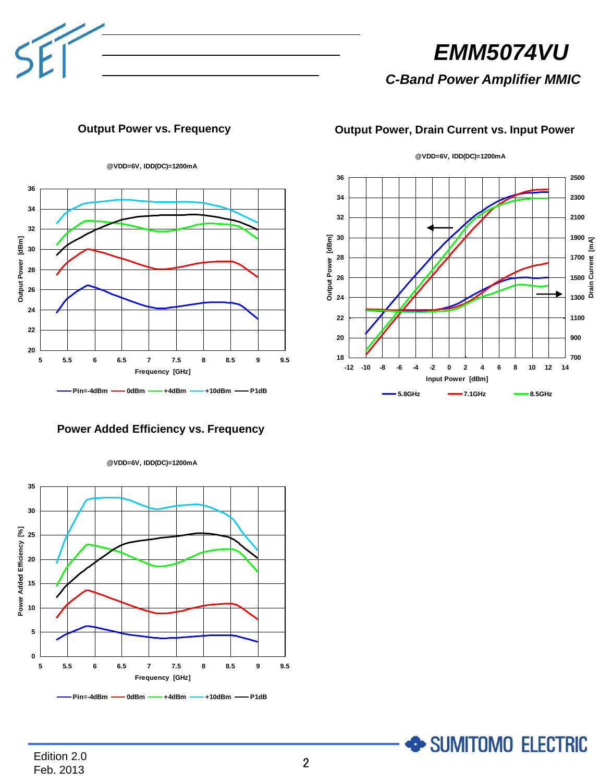

*C-Band Power Amplifier MMIC*

# **Output Power vs. Frequency Output Power, Drain Current vs. Input Power**

**@VDD=6V, IDD(DC)=1200mA**





SUMITOMO ELECTRIC

# **Power Added Efficiency vs. Frequency**



**@VDD=6V, IDD(DC)=1200mA**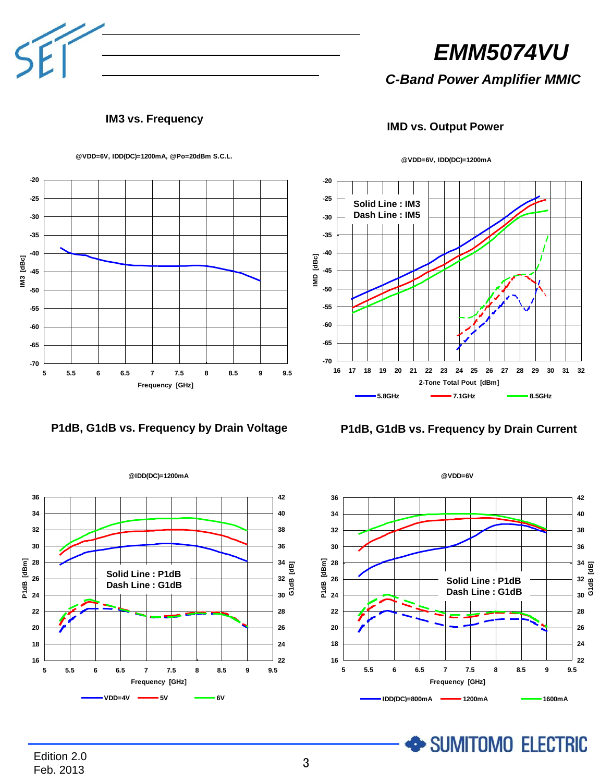

*C-Band Power Amplifier MMIC*

### **IM3 vs. Frequency**







**@VDD=6V, IDD(DC)=1200mA, @Po=20dBm S.C.L.**



**@VDD=6V, IDD(DC)=1200mA**

**IMD vs. Output Power**



SUMITOMO ELECTRIC

Edition 2.0 **Edition 2.0**<br>Feb. 2013 3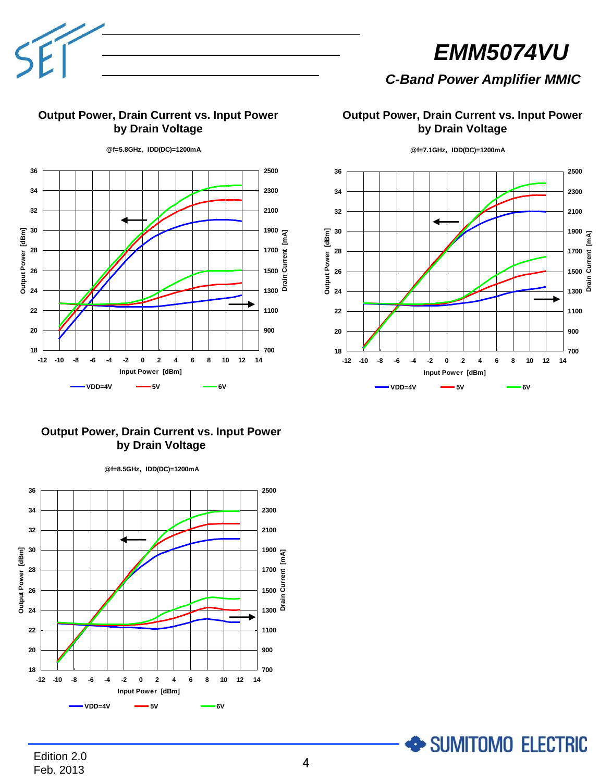

# *C-Band Power Amplifier MMIC*

### **Output Power, Drain Current vs. Input Power by Drain Voltage**

**@f=5.8GHz, IDD(DC)=1200mA**

 Output Power [dBm] **Output Power [dBm] Drain Current [mA]** 1700<br>1500<br>1500<br>E <sup>5</sup>ـ 1300 **VDD=4V 5V 6V** 系 列**<sup>1</sup>** 系 列**<sup>6</sup>** 系 列**<sup>7</sup> -12 -10 -8 -6 -4 -2 0 2 4 6 8 10 12 14 Input Power [dBm]**

# **Output Power, Drain Current vs. Input Power by Drain Voltage**



# **Output Power, Drain Current vs. Input Power by Drain Voltage**



**@f=7.1GHz, IDD(DC)=1200mA**

SUMITOMO ELECTRIC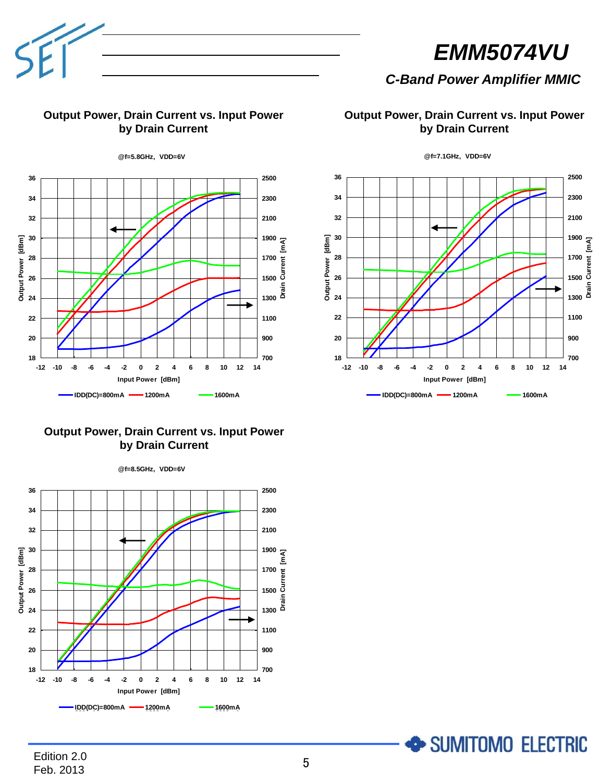# *C-Band Power Amplifier MMIC*

# **Output Power, Drain Current vs. Input Power by Drain Current**



**Output Power, Drain Current vs. Input Power by Drain Current**

# **Output Power, Drain Current vs. Input Power by Drain Current**



**@f=8.5GHz, VDD=6V**

**@f=7.1GHz, VDD=6V**



SUMITOMO ELECTRIC

# Edition 2.0 Feb. 2013 <sup>5</sup>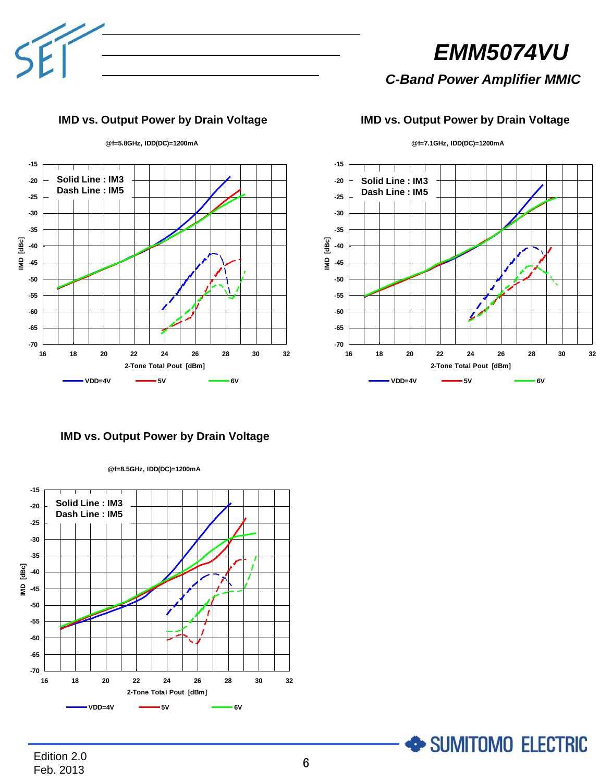

*C-Band Power Amplifier MMIC*

# **IMD vs. Output Power by Drain Voltage IMD vs. Output Power by Drain Voltage**

**@f=7.1GHz, IDD(DC)=1200mA**



**-70 -65 -60 -55 -50 -45 -40 -35 -30 -25 -20 -15 16 18 20 22 24 26 28 30 32 2-Tone Total Pout [dBm] IMD [dBc] VDD=4V 5V 6V** 系 列**<sup>1</sup>** 系 列**<sup>6</sup>** 系 列**<sup>7</sup> Solid Line : IM3 Dash Line : IM5**

SUMITOMO ELECTRIC

**IMD vs. Output Power by Drain Voltage**



**@f=8.5GHz, IDD(DC)=1200mA**

Edition 2.0 Feb. 2013 <sup>6</sup>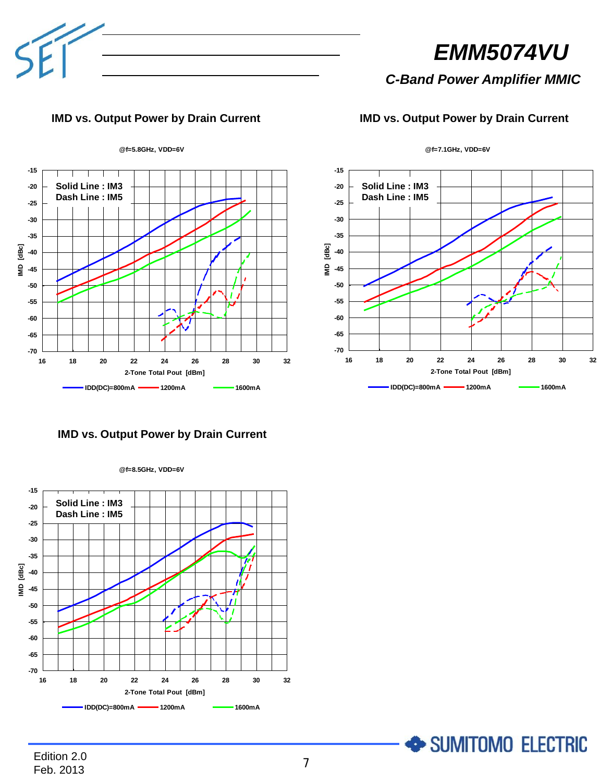

# *C-Band Power Amplifier MMIC*

# **IMD vs. Output Power by Drain Current IMD vs. Output Power by Drain Current**





SUMITOMO ELECTRIC

# **IMD vs. Output Power by Drain Current**



**@f=8.5GHz, VDD=6V**

Edition 2.0 Feb. 2013 <sup>7</sup>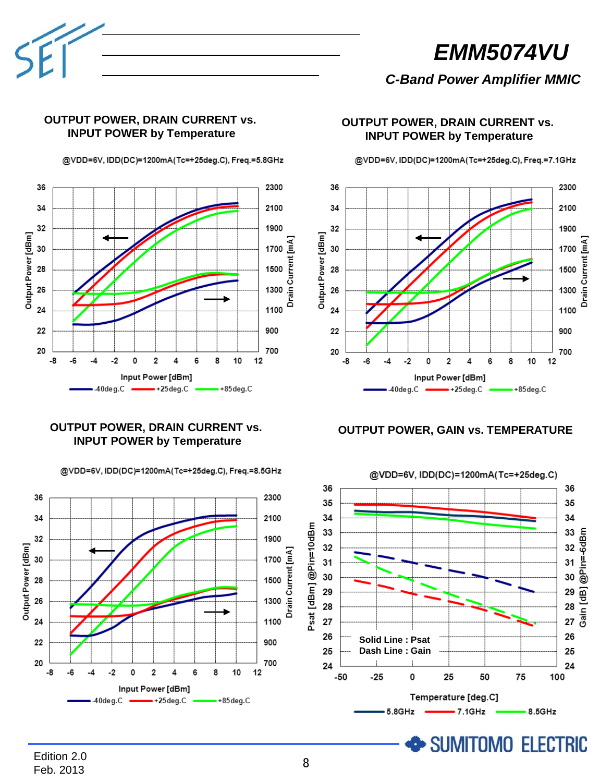

# *C-Band Power Amplifier MMIC*

# **OUTPUT POWER, DRAIN CURRENT vs. INPUT POWER by Temperature**

@VDD=6V, IDD(DC)=1200mA(Tc=+25deg.C), Freq.=5.8GHz



# **OUTPUT POWER, DRAIN CURRENT vs. INPUT POWER by Temperature**

@VDD=6V, IDD(DC)=1200mA(Tc=+25deg.C), Freq.=8.5GHz

### **OUTPUT POWER, DRAIN CURRENT vs. INPUT POWER by Temperature**

@VDD=6V, IDD(DC)=1200mA(Tc=+25deg.C), Freq.=7.1GHz

36 2300 34 2100 1900 32 Output Power [dBm]  $\overline{a}$ 30 1700 Drain Current 28 1500 26 1300 24 1100 22 900 20 700 -8 -6  $-2$  $\overline{2}$ 6 8 10  $12$ Δ. ٥ Input Power [dBm]  $40deg.C$  $-+25deg.C$  $-$ +85deg.C

**OUTPUT POWER, GAIN vs. TEMPERATURE**

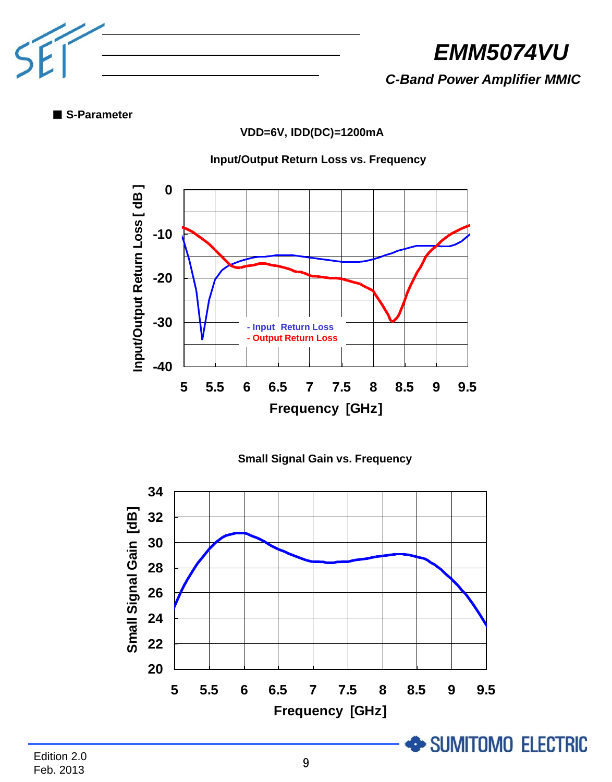

*C-Band Power Amplifier MMIC*

■ **S-Parameter**

**VDD=6V, IDD(DC)=1200mA**

# **Input/Output Return Loss vs. Frequency**





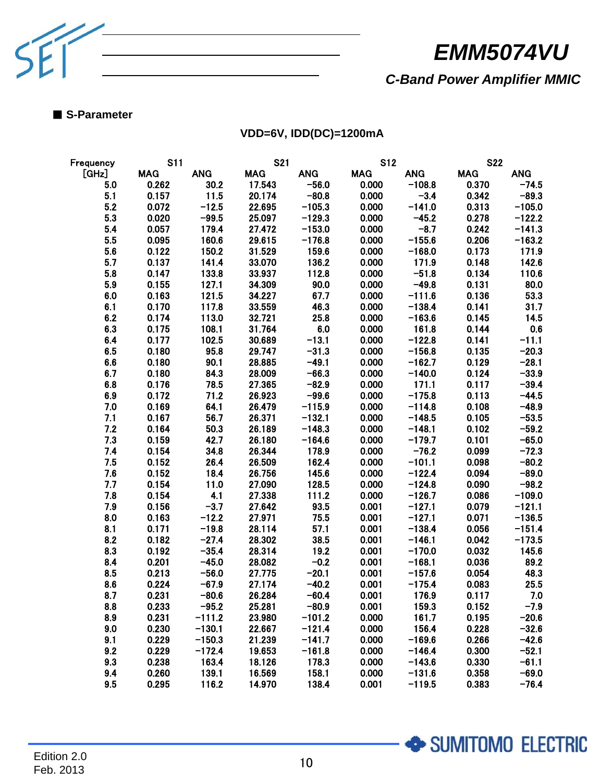

SUMITOMO ELECTRIC

*C-Band Power Amplifier MMIC*

### ■ **S-Parameter**

**VDD=6V, IDD(DC)=1200mA**

| Frequency | <b>S11</b> |            | <b>S21</b> |            | <b>S12</b> |            | <b>S22</b> |            |
|-----------|------------|------------|------------|------------|------------|------------|------------|------------|
| [GHz]     | <b>MAG</b> | <b>ANG</b> | <b>MAG</b> | <b>ANG</b> | <b>MAG</b> | <b>ANG</b> | <b>MAG</b> | <b>ANG</b> |
| 5.0       | 0.262      | 30.2       | 17.543     | $-56.0$    | 0.000      | $-108.8$   | 0.370      | $-74.5$    |
| 5.1       | 0.157      | 11.5       | 20.174     | $-80.8$    | 0.000      | $-3.4$     | 0.342      | $-89.3$    |
| 5.2       | 0.072      | $-12.5$    | 22.695     | $-105.3$   | 0.000      | $-141.0$   | 0.313      | $-105.0$   |
| 5.3       | 0.020      | $-99.5$    | 25.097     | $-129.3$   | 0.000      | $-45.2$    | 0.278      | $-122.2$   |
| 5.4       | 0.057      | 179.4      | 27.472     | $-153.0$   | 0.000      | $-8.7$     | 0.242      | $-141.3$   |
| 5.5       | 0.095      | 160.6      | 29.615     | $-176.8$   | 0.000      | $-155.6$   | 0.206      | $-163.2$   |
| 5.6       | 0.122      | 150.2      | 31.529     | 159.6      | 0.000      | $-168.0$   | 0.173      | 171.9      |
| 5.7       | 0.137      | 141.4      | 33.070     | 136.2      | 0.000      | 171.9      | 0.148      | 142.6      |
| 5.8       | 0.147      | 133.8      | 33.937     | 112.8      | 0.000      | $-51.8$    | 0.134      | 110.6      |
| 5.9       | 0.155      | 127.1      | 34.309     | 90.0       | 0.000      | $-49.8$    | 0.131      | 80.0       |
| 6.0       | 0.163      | 121.5      | 34.227     | 67.7       | 0.000      | $-111.6$   | 0.136      | 53.3       |
| 6.1       | 0.170      | 117.8      | 33.559     | 46.3       | 0.000      | $-138.4$   | 0.141      | 31.7       |
| 6.2       | 0.174      | 113.0      | 32.721     | 25.8       | 0.000      | $-163.6$   | 0.145      | 14.5       |
| 6.3       | 0.175      | 108.1      | 31.764     | 6.0        | 0.000      | 161.8      | 0.144      | 0.6        |
| 6.4       | 0.177      | 102.5      | 30.689     | $-13.1$    | 0.000      | $-122.8$   | 0.141      | $-11.1$    |
| 6.5       | 0.180      | 95.8       | 29.747     | $-31.3$    | 0.000      | $-156.8$   | 0.135      | $-20.3$    |
| 6.6       | 0.180      | 90.1       | 28.885     | $-49.1$    | 0.000      | $-162.7$   | 0.129      | $-28.1$    |
| 6.7       | 0.180      | 843        | 28.009     | $-66.3$    | 0.000      | $-140.0$   | 0.124      | $-33.9$    |
| 6.8       | 0.176      | 78.5       | 27.365     | $-82.9$    | 0.000      | 171.1      | 0.117      | $-39.4$    |
| 6.9       | 0.172      | 71.2       | 26.923     | $-99.6$    | 0.000      | $-175.8$   | 0.113      | $-44.5$    |
| 7.0       | 0.169      | 64.1       | 26.479     | $-115.9$   | 0.000      | $-114.8$   | 0.108      | $-48.9$    |
| 7.1       | 0.167      | 56.7       | 26.371     | $-132.1$   | 0.000      | $-148.5$   | 0.105      | $-53.5$    |
| 7.2       | 0.164      | 50.3       | 26.189     | $-148.3$   | 0.000      | $-148.1$   | 0.102      | $-59.2$    |
| 7.3       | 0.159      | 42.7       | 26.180     | $-164.6$   | 0.000      | $-179.7$   | 0.101      | $-65.0$    |
| 7.4       | 0.154      | 34.8       | 26.344     | 178.9      | 0.000      | $-76.2$    | 0.099      | $-72.3$    |
| 7.5       | 0.152      | 26.4       | 26.509     | 162.4      | 0.000      | $-101.1$   | 0.098      | $-80.2$    |
| 7.6       | 0.152      | 184        | 26.756     | 145.6      | 0.000      | $-122.4$   | 0.094      | $-89.0$    |
| 7.7       | 0.154      | 11.0       | 27.090     | 128.5      | 0.000      | $-124.8$   | 0.090      | $-98.2$    |
| 7.8       | 0.154      | 4.1        | 27.338     | 111.2      | 0.000      | $-126.7$   | 0.086      | $-109.0$   |
| 7.9       | 0.156      | $-3.7$     | 27.642     | 93.5       | 0.001      | $-127.1$   | 0.079      | $-121.1$   |
| 8.0       | 0.163      | $-12.2$    | 27.971     | 75.5       | 0.001      | $-127.1$   | 0.071      | $-136.5$   |
| 8.1       | 0.171      | $-19.8$    | 28.114     | 57.1       | 0.001      | $-138.4$   | 0.056      | $-151.4$   |
| 8.2       | 0.182      | $-27.4$    | 28.302     | 38.5       | 0.001      | $-146.1$   | 0.042      | $-173.5$   |
| 8.3       | 0.192      | $-35.4$    | 28.314     | 19.2       | 0.001      | $-170.0$   | 0.032      | 145.6      |
| 8.4       | 0.201      | $-45.0$    | 28.082     | $-0.2$     | 0.001      | $-168.1$   | 0.036      | 89.2       |
| 8.5       | 0.213      | $-56.0$    | 27.775     | $-20.1$    | 0.001      | $-157.6$   | 0.054      | 48.3       |
| 8.6       | 0.224      | $-67.9$    | 27.174     | $-40.2$    | 0.001      | $-175.4$   | 0.083      | 25.5       |
| 8.7       | 0.231      | $-80.6$    | 26.284     | $-60.4$    | 0.001      | 176.9      | 0.117      | 7.0        |
| 8.8       | 0.233      | $-95.2$    | 25.281     | $-80.9$    | 0.001      | 159.3      | 0.152      | $-7.9$     |
| 8.9       | 0.231      | $-111.2$   | 23.980     | $-101.2$   | 0.000      | 161.7      | 0.195      | $-20.6$    |
| 9.0       | 0.230      | $-130.1$   | 22.667     | $-121.4$   | 0.000      | 156.4      | 0.228      | $-32.6$    |
| 9.1       | 0.229      | $-150.3$   | 21.239     | $-141.7$   | 0.000      | $-169.6$   | 0.266      | $-42.6$    |
| 9.2       | 0.229      | $-172.4$   | 19.653     | $-161.8$   | 0.000      | $-146.4$   | 0.300      | $-52.1$    |
| 9.3       | 0.238      | 163.4      | 18.126     | 178.3      | 0.000      | $-143.6$   | 0.330      | $-61.1$    |
| 9.4       | 0.260      | 139.1      | 16.569     | 158.1      | 0.000      | $-131.6$   | 0.358      | $-69.0$    |
| 9.5       | 0.295      | 116.2      | 14.970     | 138.4      | 0.001      | $-119.5$   | 0.383      | $-76.4$    |
|           |            |            |            |            |            |            |            |            |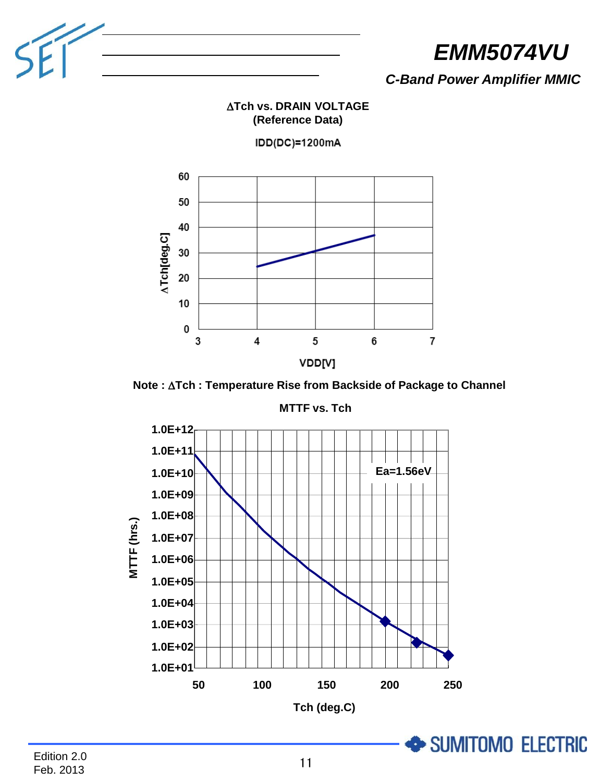

*C-Band Power Amplifier MMIC*

# **ATch vs. DRAIN VOLTAGE (Reference Data)**

IDD(DC)=1200mA



**Note : ∆Tch : Temperature Rise from Backside of Package to Channel** 



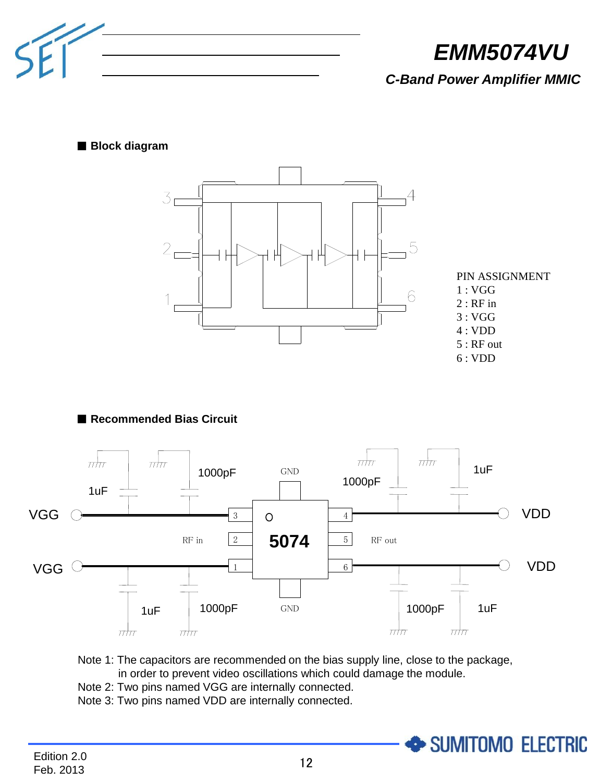

*C-Band Power Amplifier MMIC*

### ■ **Block diagram**



PIN ASSIGNMENT 1 : VGG  $2:$  RF in 3 : VGG 4 : VDD 5 : RF out 6 : VDD

SUMITOMO ELECTRIC

# ■ **Recommended Bias Circuit**



Note 1: The capacitors are recommended on the bias supply line, close to the package, in order to prevent video oscillations which could damage the module.

- Note 2: Two pins named VGG are internally connected.
- Note 3: Two pins named VDD are internally connected.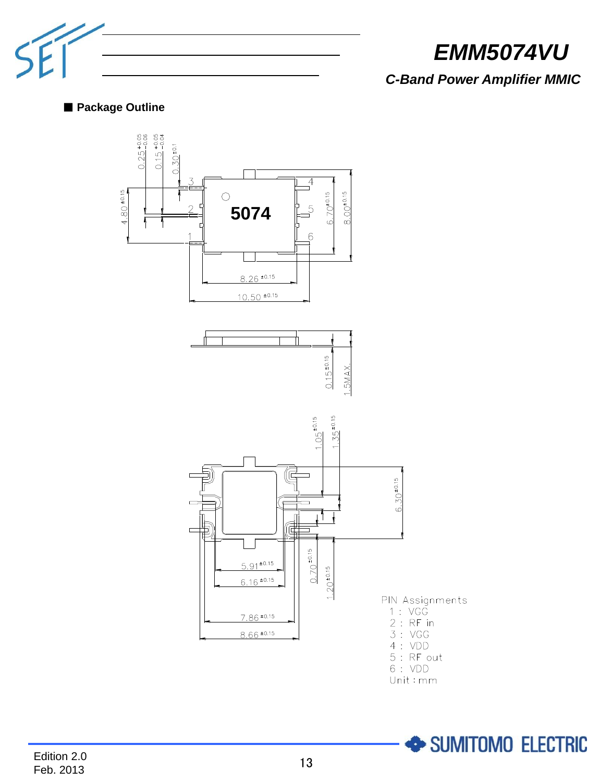

SUMITOMO ELECTRIC

# *C-Band Power Amplifier MMIC*

# ■ **Package Outline**

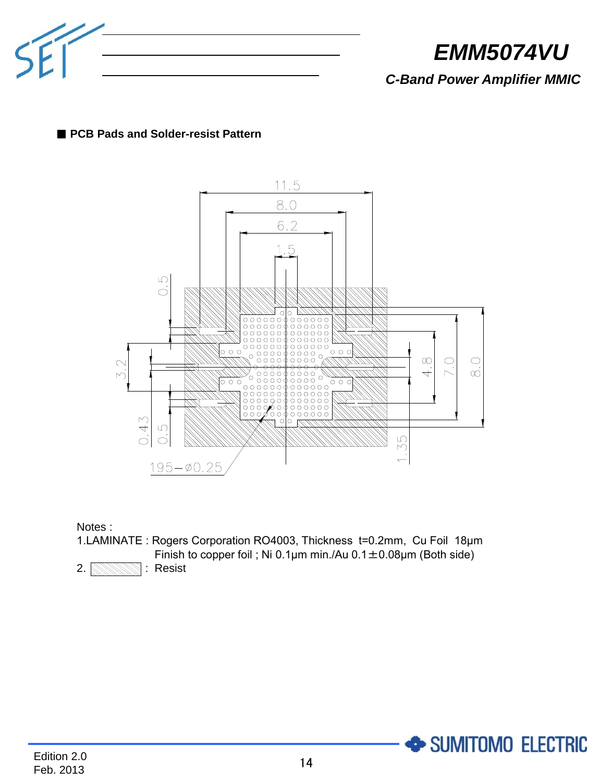

*C-Band Power Amplifier MMIC*

# ■ **PCB Pads and Solder-resist Pattern**



Notes :

1.LAMINATE : Rogers Corporation RO4003, Thickness t=0.2mm, Cu Foil 18μm Finish to copper foil ; Ni 0.1 $\mu$ m min./Au 0.1 $\pm$ 0.08 $\mu$ m (Both side)



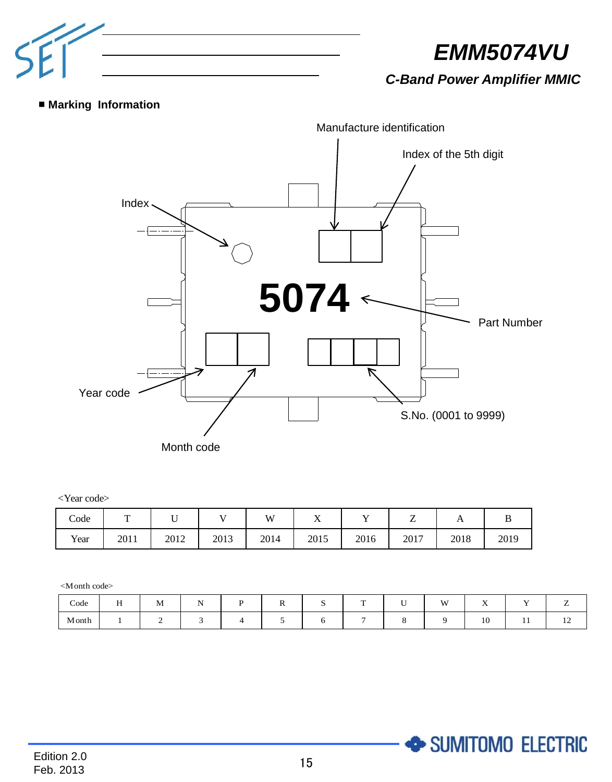

*C-Band Power Amplifier MMIC*

SUMITOMO ELECTRIC

# ■ **Marking Information**



#### <Year code>

| Code | m    | ◡    | - -  | VV   | --<br>77 |      | -<br>- | $\mathbf{r}$ |      |
|------|------|------|------|------|----------|------|--------|--------------|------|
| Year | 2011 | 2012 | 2013 | 2014 | 2015     | 2016 | 2017   | 2018         | 2019 |

<Month code>

| Code  | $\sim$ $\sim$<br>. . | . .<br>M | . . |  | œ | $ -$ | <b>M</b> | $\mathbf{r}$ | $ -$    |                          |
|-------|----------------------|----------|-----|--|---|------|----------|--------------|---------|--------------------------|
| Month |                      |          |     |  |   |      |          | $\sim$<br>10 | $\cdot$ | $\overline{\phantom{0}}$ |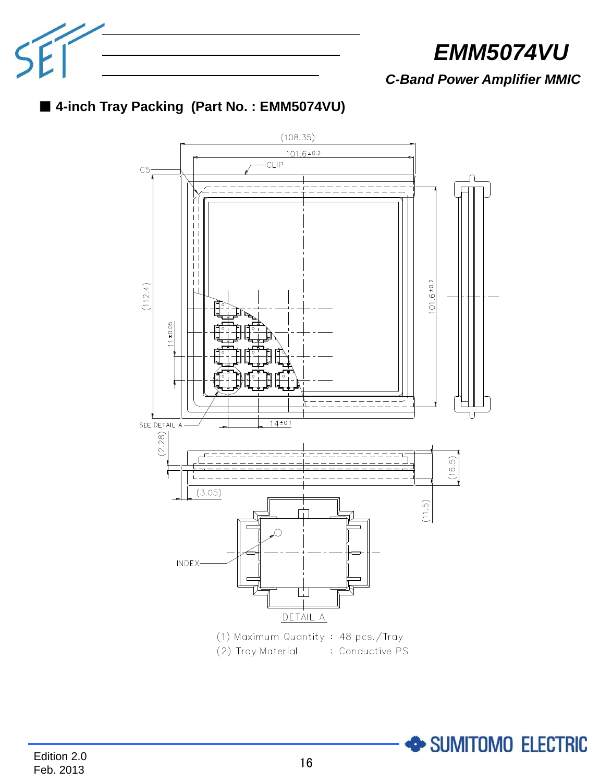

SUMITOMO ELECTRIC

*C-Band Power Amplifier MMIC*



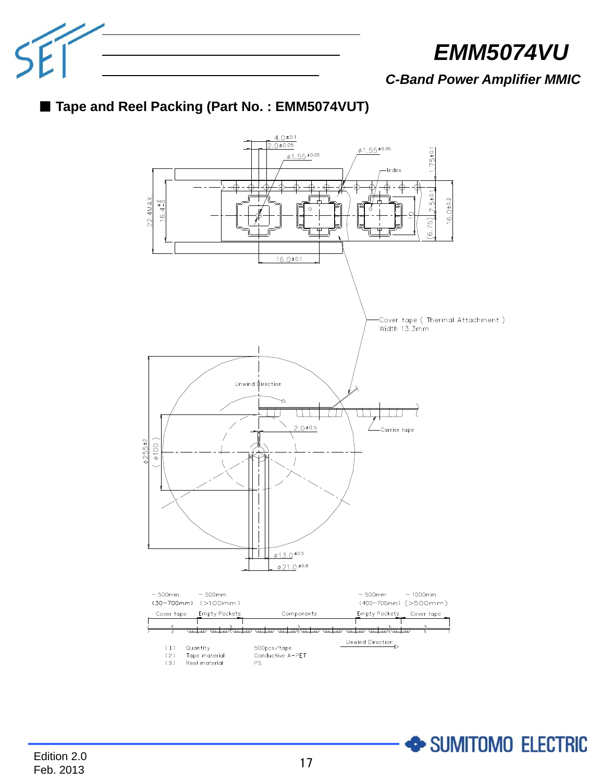

*C-Band Power Amplifier MMIC*





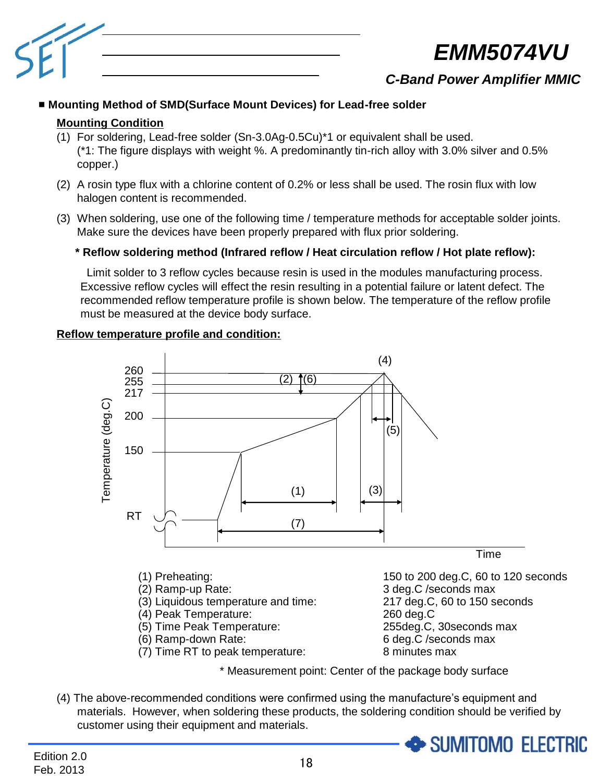

# *C-Band Power Amplifier MMIC*

# ■ **Mounting Method of SMD(Surface Mount Devices) for Lead-free solder**

# **Mounting Condition**

- (1) For soldering, Lead-free solder (Sn-3.0Ag-0.5Cu)\*1 or equivalent shall be used. (\*1: The figure displays with weight %. A predominantly tin-rich alloy with 3.0% silver and 0.5% copper.)
- (2) A rosin type flux with a chlorine content of 0.2% or less shall be used. The rosin flux with low halogen content is recommended.
- (3) When soldering, use one of the following time / temperature methods for acceptable solder joints. Make sure the devices have been properly prepared with flux prior soldering.

# **\* Reflow soldering method (Infrared reflow / Heat circulation reflow / Hot plate reflow):**

 Limit solder to 3 reflow cycles because resin is used in the modules manufacturing process. Excessive reflow cycles will effect the resin resulting in a potential failure or latent defect. The recommended reflow temperature profile is shown below. The temperature of the reflow profile must be measured at the device body surface.





\* Measurement point: Center of the package body surface

(4) The above-recommended conditions were confirmed using the manufacture's equipment and materials. However, when soldering these products, the soldering condition should be verified by customer using their equipment and materials.